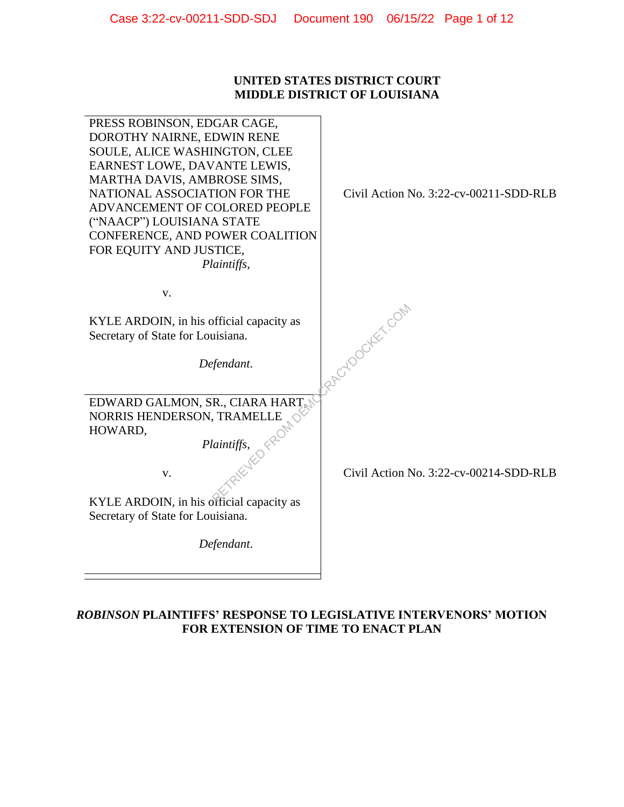## **UNITED STATES DISTRICT COURT MIDDLE DISTRICT OF LOUISIANA**

| PRESS ROBINSON, EDGAR CAGE,<br>DOROTHY NAIRNE, EDWIN RENE<br>SOULE, ALICE WASHINGTON, CLEE<br>EARNEST LOWE, DAVANTE LEWIS,<br>MARTHA DAVIS, AMBROSE SIMS,<br>NATIONAL ASSOCIATION FOR THE<br>ADVANCEMENT OF COLORED PEOPLE<br>("NAACP") LOUISIANA STATE<br>CONFERENCE, AND POWER COALITION<br>FOR EQUITY AND JUSTICE,<br>Plaintiffs, | Civil Action No. 3:22-cv-00211-SDD-RLB |
|--------------------------------------------------------------------------------------------------------------------------------------------------------------------------------------------------------------------------------------------------------------------------------------------------------------------------------------|----------------------------------------|
| ${\bf V}$ .                                                                                                                                                                                                                                                                                                                          |                                        |
| KYLE ARDOIN, in his official capacity as<br>Secretary of State for Louisiana.                                                                                                                                                                                                                                                        | RACYDOCKEY COM                         |
| Defendant.                                                                                                                                                                                                                                                                                                                           |                                        |
| EDWARD GALMON, SR., CIARA HART,                                                                                                                                                                                                                                                                                                      |                                        |
| NORRIS HENDERSON, TRAMELLE<br>HOWARD,                                                                                                                                                                                                                                                                                                |                                        |
|                                                                                                                                                                                                                                                                                                                                      |                                        |
| $\frac{1}{\sqrt{2}}$ Plaintiffs,<br>V.                                                                                                                                                                                                                                                                                               | Civil Action No. 3:22-cv-00214-SDD-RLB |
| KYLE ARDOIN, in his official capacity as                                                                                                                                                                                                                                                                                             |                                        |
| Secretary of State for Louisiana.                                                                                                                                                                                                                                                                                                    |                                        |
| Defendant.                                                                                                                                                                                                                                                                                                                           |                                        |
|                                                                                                                                                                                                                                                                                                                                      |                                        |
|                                                                                                                                                                                                                                                                                                                                      |                                        |

# *ROBINSON* **PLAINTIFFS' RESPONSE TO LEGISLATIVE INTERVENORS' MOTION FOR EXTENSION OF TIME TO ENACT PLAN**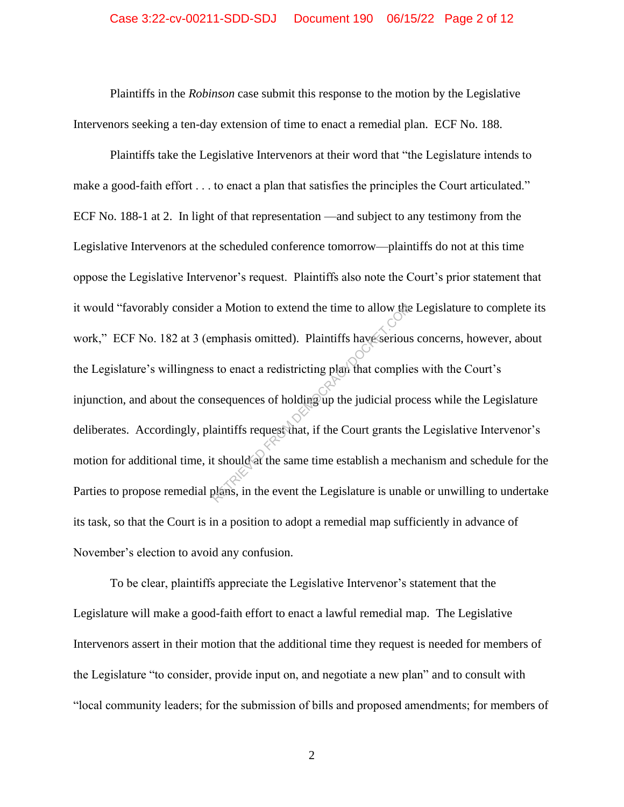Plaintiffs in the *Robinson* case submit this response to the motion by the Legislative Intervenors seeking a ten-day extension of time to enact a remedial plan. ECF No. 188.

Plaintiffs take the Legislative Intervenors at their word that "the Legislature intends to make a good-faith effort . . . to enact a plan that satisfies the principles the Court articulated." ECF No. 188-1 at 2. In light of that representation —and subject to any testimony from the Legislative Intervenors at the scheduled conference tomorrow—plaintiffs do not at this time oppose the Legislative Intervenor's request. Plaintiffs also note the Court's prior statement that it would "favorably consider a Motion to extend the time to allow the Legislature to complete its work," ECF No. 182 at 3 (emphasis omitted). Plaintiffs have serious concerns, however, about the Legislature's willingness to enact a redistricting plan that complies with the Court's injunction, and about the consequences of holding up the judicial process while the Legislature deliberates. Accordingly, plaintiffs request that, if the Court grants the Legislative Intervenor's motion for additional time, it should at the same time establish a mechanism and schedule for the Parties to propose remedial plans, in the event the Legislature is unable or unwilling to undertake its task, so that the Court is in a position to adopt a remedial map sufficiently in advance of November's election to avoid any confusion. Examples a Motion to extend the time to allow the<br>
emphasis omitted). Plaintiffs have serious<br>
s to enact a redistricting plan that complie<br>
is to enact a redistricting plan that complie<br>
is the sequences of holding up the

To be clear, plaintiffs appreciate the Legislative Intervenor's statement that the Legislature will make a good-faith effort to enact a lawful remedial map. The Legislative Intervenors assert in their motion that the additional time they request is needed for members of the Legislature "to consider, provide input on, and negotiate a new plan" and to consult with "local community leaders; for the submission of bills and proposed amendments; for members of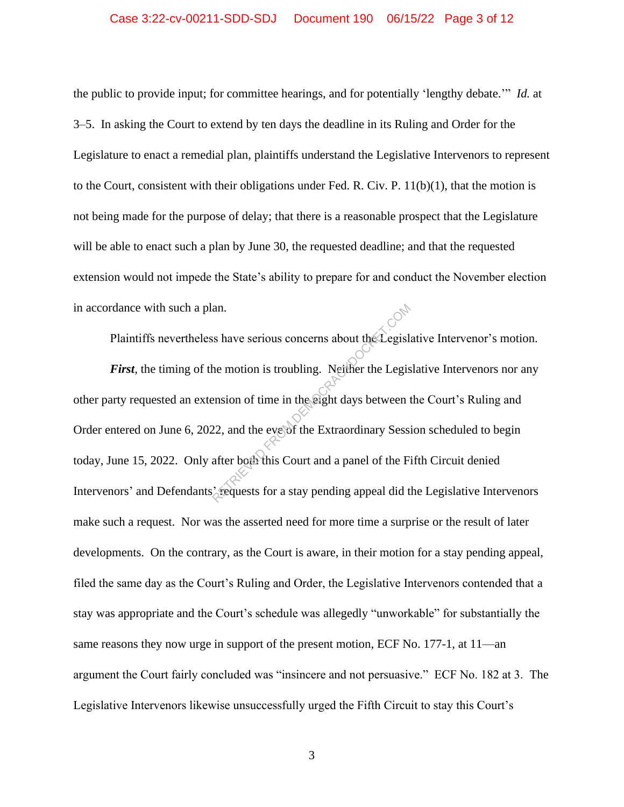### Case 3:22-cv-00211-SDD-SDJ Document 190 06/15/22 Page 3 of 12

the public to provide input; for committee hearings, and for potentially 'lengthy debate.'" *Id.* at 3–5. In asking the Court to extend by ten days the deadline in its Ruling and Order for the Legislature to enact a remedial plan, plaintiffs understand the Legislative Intervenors to represent to the Court, consistent with their obligations under Fed. R. Civ. P.  $11(b)(1)$ , that the motion is not being made for the purpose of delay; that there is a reasonable prospect that the Legislature will be able to enact such a plan by June 30, the requested deadline; and that the requested extension would not impede the State's ability to prepare for and conduct the November election in accordance with such a plan.

Plaintiffs nevertheless have serious concerns about the Legislative Intervenor's motion. *First*, the timing of the motion is troubling. Neither the Legislative Intervenors nor any other party requested an extension of time in the eight days between the Court's Ruling and Order entered on June 6, 2022, and the eve of the Extraordinary Session scheduled to begin today, June 15, 2022. Only after both this Court and a panel of the Fifth Circuit denied Intervenors' and Defendants' requests for a stay pending appeal did the Legislative Intervenors make such a request. Nor was the asserted need for more time a surprise or the result of later developments. On the contrary, as the Court is aware, in their motion for a stay pending appeal, filed the same day as the Court's Ruling and Order, the Legislative Intervenors contended that a stay was appropriate and the Court's schedule was allegedly "unworkable" for substantially the same reasons they now urge in support of the present motion, ECF No. 177-1, at 11—an argument the Court fairly concluded was "insincere and not persuasive." ECF No. 182 at 3. The Legislative Intervenors likewise unsuccessfully urged the Fifth Circuit to stay this Court's Examples and the example of the motion is troubling. Neither the Legisland<br>
Returns about the Legislands of time in the eight days between<br>
the example of the Extraordinary Sess.<br>
Legislands and the example of the Finance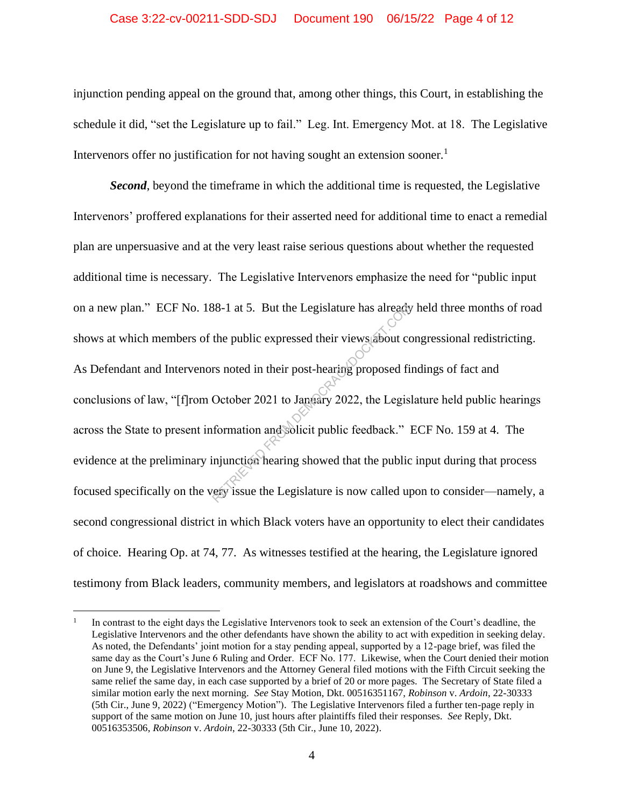#### Case 3:22-cv-00211-SDD-SDJ Document 190 06/15/22 Page 4 of 12

injunction pending appeal on the ground that, among other things, this Court, in establishing the schedule it did, "set the Legislature up to fail." Leg. Int. Emergency Mot. at 18. The Legislative Intervenors offer no justification for not having sought an extension sooner.<sup>1</sup>

*Second*, beyond the timeframe in which the additional time is requested, the Legislative Intervenors' proffered explanations for their asserted need for additional time to enact a remedial plan are unpersuasive and at the very least raise serious questions about whether the requested additional time is necessary. The Legislative Intervenors emphasize the need for "public input on a new plan." ECF No. 188-1 at 5. But the Legislature has already held three months of road shows at which members of the public expressed their views about congressional redistricting. As Defendant and Intervenors noted in their post-hearing proposed findings of fact and conclusions of law, "[f]rom October 2021 to January 2022, the Legislature held public hearings across the State to present information and solicit public feedback." ECF No. 159 at 4. The evidence at the preliminary injunction hearing showed that the public input during that process focused specifically on the very issue the Legislature is now called upon to consider—namely, a second congressional district in which Black voters have an opportunity to elect their candidates of choice. Hearing Op. at 74, 77. As witnesses testified at the hearing, the Legislature ignored testimony from Black leaders, community members, and legislators at roadshows and committee Results already<br>the public expressed their views about computed the public expressed their views about computed as<br>responsed from their post-hearing proposed from October 2021 to January 2022, the Legis<br>formation and Solic

<sup>1</sup> In contrast to the eight days the Legislative Intervenors took to seek an extension of the Court's deadline, the Legislative Intervenors and the other defendants have shown the ability to act with expedition in seeking delay. As noted, the Defendants' joint motion for a stay pending appeal, supported by a 12-page brief, was filed the same day as the Court's June 6 Ruling and Order. ECF No. 177. Likewise, when the Court denied their motion on June 9, the Legislative Intervenors and the Attorney General filed motions with the Fifth Circuit seeking the same relief the same day, in each case supported by a brief of 20 or more pages. The Secretary of State filed a similar motion early the next morning. *See* Stay Motion, Dkt. 00516351167, *Robinson* v. *Ardoin*, 22-30333 (5th Cir., June 9, 2022) ("Emergency Motion"). The Legislative Intervenors filed a further ten-page reply in support of the same motion on June 10, just hours after plaintiffs filed their responses. *See* Reply, Dkt. 00516353506, *Robinson* v. *Ardoin*, 22-30333 (5th Cir., June 10, 2022).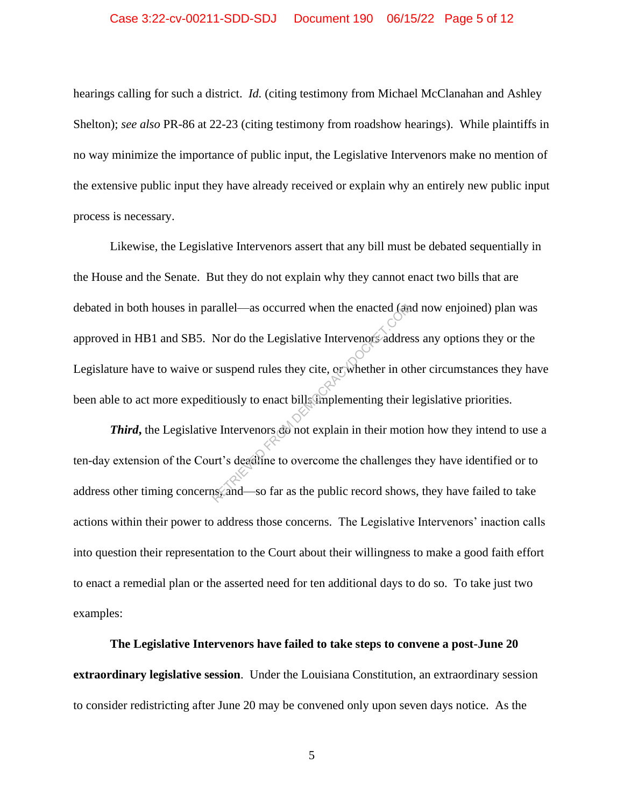hearings calling for such a district. *Id.* (citing testimony from Michael McClanahan and Ashley Shelton); *see also* PR-86 at 22-23 (citing testimony from roadshow hearings). While plaintiffs in no way minimize the importance of public input, the Legislative Intervenors make no mention of the extensive public input they have already received or explain why an entirely new public input process is necessary.

Likewise, the Legislative Intervenors assert that any bill must be debated sequentially in the House and the Senate. But they do not explain why they cannot enact two bills that are debated in both houses in parallel—as occurred when the enacted (and now enjoined) plan was approved in HB1 and SB5. Nor do the Legislative Intervenors address any options they or the Legislature have to waive or suspend rules they cite, or whether in other circumstances they have been able to act more expeditiously to enact bills implementing their legislative priorities. rallel—as occurred when the enacted (and<br>Nor do the Legislative Intervenors address<br>suspend rules they cite, or whether in other<br>titiously to enact bills implementing their<br>explain in their motion of the entry of the entry

*Third*, the Legislative Intervenors do not explain in their motion how they intend to use a ten-day extension of the Court's deadline to overcome the challenges they have identified or to address other timing concerns, and—so far as the public record shows, they have failed to take actions within their power to address those concerns. The Legislative Intervenors' inaction calls into question their representation to the Court about their willingness to make a good faith effort to enact a remedial plan or the asserted need for ten additional days to do so. To take just two examples:

**The Legislative Intervenors have failed to take steps to convene a post-June 20 extraordinary legislative session**. Under the Louisiana Constitution, an extraordinary session to consider redistricting after June 20 may be convened only upon seven days notice. As the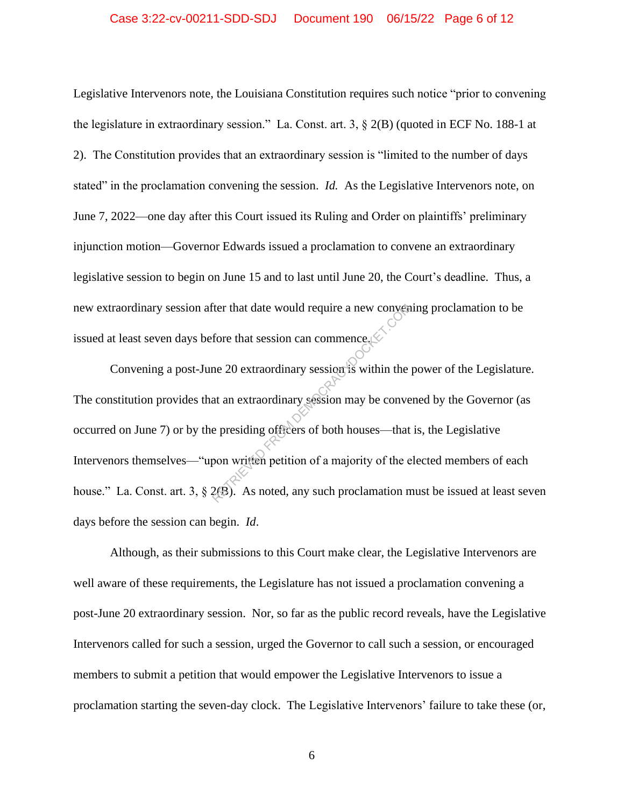#### Case 3:22-cv-00211-SDD-SDJ Document 190 06/15/22 Page 6 of 12

Legislative Intervenors note, the Louisiana Constitution requires such notice "prior to convening the legislature in extraordinary session." La. Const. art. 3, § 2(B) (quoted in ECF No. 188-1 at 2). The Constitution provides that an extraordinary session is "limited to the number of days stated" in the proclamation convening the session. *Id.* As the Legislative Intervenors note, on June 7, 2022—one day after this Court issued its Ruling and Order on plaintiffs' preliminary injunction motion—Governor Edwards issued a proclamation to convene an extraordinary legislative session to begin on June 15 and to last until June 20, the Court's deadline. Thus, a new extraordinary session after that date would require a new convening proclamation to be issued at least seven days before that session can commence.

Convening a post-June 20 extraordinary session is within the power of the Legislature. The constitution provides that an extraordinary session may be convened by the Governor (as occurred on June 7) or by the presiding officers of both houses—that is, the Legislative Intervenors themselves—"upon written petition of a majority of the elected members of each house." La. Const. art. 3, § 2(B). As noted, any such proclamation must be issued at least seven days before the session can begin. *Id*. The that date would require a new convention<br>fore that session can commence of<br>the 20 extraordinary session is within the<br>at an extraordinary session may be converted<br>that an extraordinary session may be converted<br>expected

Although, as their submissions to this Court make clear, the Legislative Intervenors are well aware of these requirements, the Legislature has not issued a proclamation convening a post-June 20 extraordinary session. Nor, so far as the public record reveals, have the Legislative Intervenors called for such a session, urged the Governor to call such a session, or encouraged members to submit a petition that would empower the Legislative Intervenors to issue a proclamation starting the seven-day clock. The Legislative Intervenors' failure to take these (or,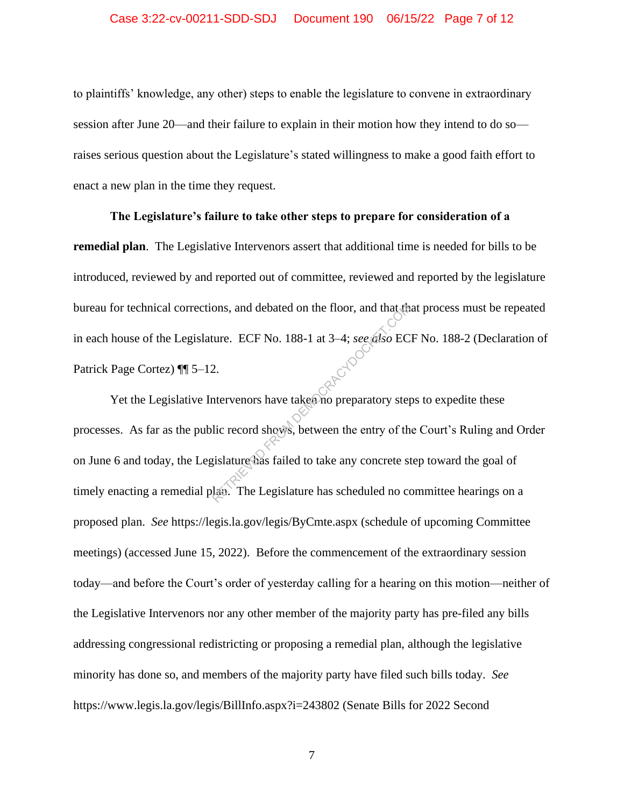#### Case 3:22-cv-00211-SDD-SDJ Document 190 06/15/22 Page 7 of 12

to plaintiffs' knowledge, any other) steps to enable the legislature to convene in extraordinary session after June 20—and their failure to explain in their motion how they intend to do so raises serious question about the Legislature's stated willingness to make a good faith effort to enact a new plan in the time they request.

**The Legislature's failure to take other steps to prepare for consideration of a remedial plan**. The Legislative Intervenors assert that additional time is needed for bills to be introduced, reviewed by and reported out of committee, reviewed and reported by the legislature bureau for technical corrections, and debated on the floor, and that that process must be repeated in each house of the Legislature. ECF No. 188-1 at 3-4; *see also* ECF No. 188-2 (Declaration of Patrick Page Cortez)  $\P$  5-12. Patrick Page Cortez) ¶¶ 5–12.

Yet the Legislative Intervenors have taken no preparatory steps to expedite these processes. As far as the public record shows, between the entry of the Court's Ruling and Order on June 6 and today, the Legislature has failed to take any concrete step toward the goal of timely enacting a remedial plan. The Legislature has scheduled no committee hearings on a proposed plan. *See* https://legis.la.gov/legis/ByCmte.aspx (schedule of upcoming Committee meetings) (accessed June 15, 2022). Before the commencement of the extraordinary session today—and before the Court's order of yesterday calling for a hearing on this motion—neither of the Legislative Intervenors nor any other member of the majority party has pre-filed any bills addressing congressional redistricting or proposing a remedial plan, although the legislative minority has done so, and members of the majority party have filed such bills today. *See*  https://www.legis.la.gov/legis/BillInfo.aspx?i=243802 (Senate Bills for 2022 Second From and debated on the floor, and that the<br>ture. ECF No. 188-1 at 3-4; see also EC<br>2.<br>therefore the extension of preparatory step<br>lic record shows, between the entry of the<br>islature has failed to take any concrete step.<br>L

7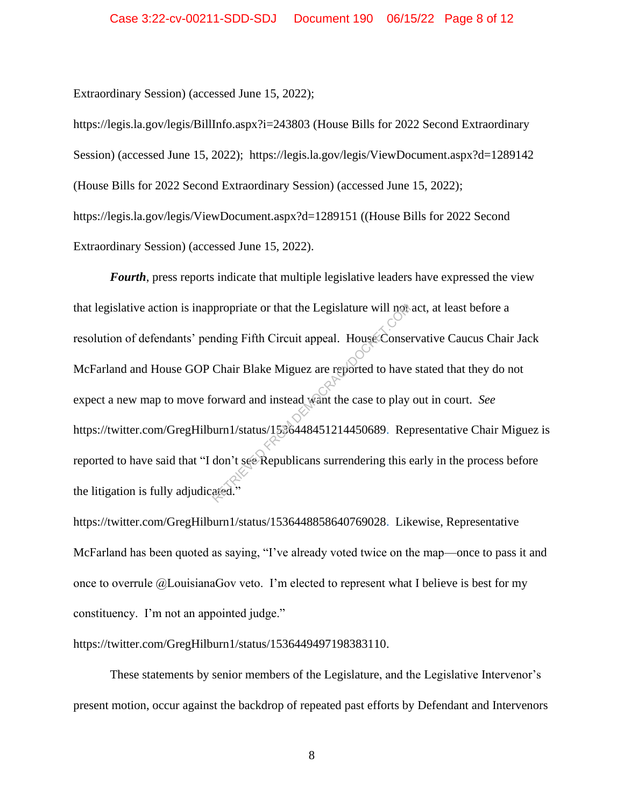Extraordinary Session) (accessed June 15, 2022);

https://legis.la.gov/legis/BillInfo.aspx?i=243803 (House Bills for 2022 Second Extraordinary Session) (accessed June 15, 2022); https://legis.la.gov/legis/ViewDocument.aspx?d=1289142 (House Bills for 2022 Second Extraordinary Session) (accessed June 15, 2022); https://legis.la.gov/legis/ViewDocument.aspx?d=1289151 ((House Bills for 2022 Second Extraordinary Session) (accessed June 15, 2022).

*Fourth*, press reports indicate that multiple legislative leaders have expressed the view that legislative action is inappropriate or that the Legislature will not act, at least before a resolution of defendants' pending Fifth Circuit appeal. House Conservative Caucus Chair Jack McFarland and House GOP Chair Blake Miguez are reported to have stated that they do not expect a new map to move forward and instead want the case to play out in court. *See*  https://twitter.com/GregHilburn1/status/1536448451214450689. Representative Chair Miguez is reported to have said that "I don't see Republicans surrendering this early in the process before the litigation is fully adjudicated." propriate or that the Legislature will not<br>nding Fifth Circuit appeal. House Conse<br>Chair Blake Miguez are reported to have<br>orward and instead want the case to play<br>urn1/status/1538448451214450689. Rep<br>don't see Republicans

https://twitter.com/GregHilburn1/status/1536448858640769028. Likewise, Representative McFarland has been quoted as saying, "I've already voted twice on the map—once to pass it and once to overrule @LouisianaGov veto. I'm elected to represent what I believe is best for my constituency. I'm not an appointed judge."

https://twitter.com/GregHilburn1/status/1536449497198383110.

These statements by senior members of the Legislature, and the Legislative Intervenor's present motion, occur against the backdrop of repeated past efforts by Defendant and Intervenors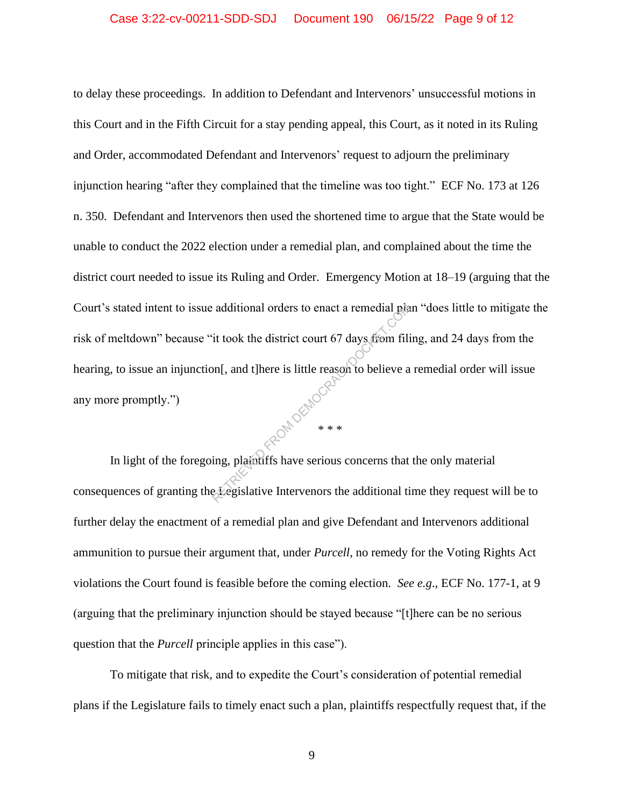to delay these proceedings. In addition to Defendant and Intervenors' unsuccessful motions in this Court and in the Fifth Circuit for a stay pending appeal, this Court, as it noted in its Ruling and Order, accommodated Defendant and Intervenors' request to adjourn the preliminary injunction hearing "after they complained that the timeline was too tight." ECF No. 173 at 126 n. 350. Defendant and Intervenors then used the shortened time to argue that the State would be unable to conduct the 2022 election under a remedial plan, and complained about the time the district court needed to issue its Ruling and Order. Emergency Motion at 18–19 (arguing that the Court's stated intent to issue additional orders to enact a remedial plan "does little to mitigate the risk of meltdown" because "it took the district court 67 days from filing, and 24 days from the hearing, to issue an injunction[, and t]here is little reason to believe a remedial order will issue any more promptly.") additional orders to enact a remedial plant<br>it took the district court 67 days from filion<br>[, and t]here is little reason to believe a<br>\*\*\*<br>ing, plaintiffs have serious concerns that<br>kegislative Intervenors the additional t

In light of the foregoing, plaintiffs have serious concerns that the only material consequences of granting the Legislative Intervenors the additional time they request will be to further delay the enactment of a remedial plan and give Defendant and Intervenors additional ammunition to pursue their argument that, under *Purcell*, no remedy for the Voting Rights Act violations the Court found is feasible before the coming election. *See e.g*., ECF No. 177-1, at 9 (arguing that the preliminary injunction should be stayed because "[t]here can be no serious question that the *Purcell* principle applies in this case").

\* \* \*

To mitigate that risk, and to expedite the Court's consideration of potential remedial plans if the Legislature fails to timely enact such a plan, plaintiffs respectfully request that, if the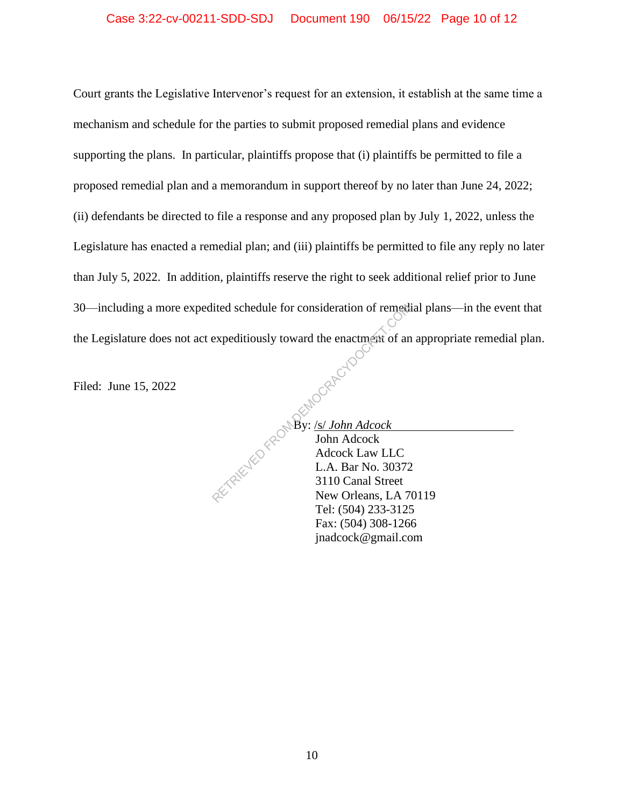Court grants the Legislative Intervenor's request for an extension, it establish at the same time a mechanism and schedule for the parties to submit proposed remedial plans and evidence supporting the plans. In particular, plaintiffs propose that (i) plaintiffs be permitted to file a proposed remedial plan and a memorandum in support thereof by no later than June 24, 2022; (ii) defendants be directed to file a response and any proposed plan by July 1, 2022, unless the Legislature has enacted a remedial plan; and (iii) plaintiffs be permitted to file any reply no later than July 5, 2022. In addition, plaintiffs reserve the right to seek additional relief prior to June 30—including a more expedited schedule for consideration of remedial plans—in the event that the Legislature does not act expeditiously toward the enactment of an appropriate remedial plan.<br>Filed: June 15, 2022

Filed: June 15, 2022

By: /s/ *John Adcock* John Adcock Adcock Law LLC L.A. Bar No. 30372 3110 Canal Street New Orleans, LA 70119 Tel: (504) 233-3125 Fax: (504) 308-1266 jnadcock@gmail.com From the enactment of an expeditiously toward the enactment of an expeditiously toward the enactment of an expeditiously toward the enactment of an expeditiously toward to By:  $\frac{1}{\text{John Alcock}}$  John Adcock Law LLC L.A. Bar No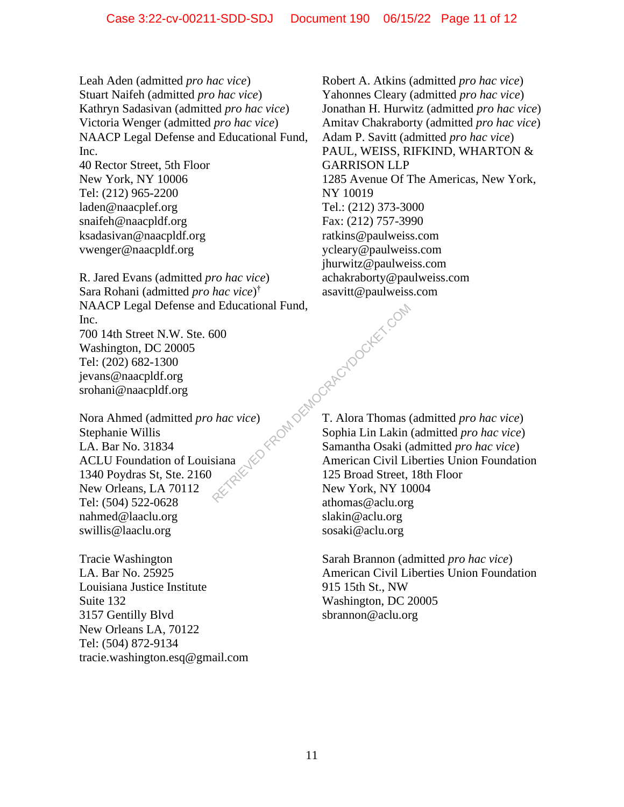Leah Aden (admitted *pro hac vice*) Stuart Naifeh (admitted *pro hac vice*) Kathryn Sadasivan (admitted *pro hac vice*) Victoria Wenger (admitted *pro hac vice*) NAACP Legal Defense and Educational Fund, Inc. 40 Rector Street, 5th Floor

New York, NY 10006 Tel: (212) 965-2200 laden@naacplef.org snaifeh@naacpldf.org ksadasivan@naacpldf.org vwenger@naacpldf.org

R. Jared Evans (admitted *pro hac vice*) Sara Rohani (admitted *pro hac vice*) † NAACP Legal Defense and Educational Fund, Inc. 700 14th Street N.W. Ste. 600 Washington, DC 20005 Tel: (202) 682-1300 jevans@naacpldf.org srohani@naacpldf.org  $\begin{pmatrix} 1 & 0 & 0 \end{pmatrix}$ <br>  $\begin{pmatrix} 1 & 0 & 0 \end{pmatrix}$ <br>  $\begin{pmatrix} 1 & 0 & 0 \end{pmatrix}$ <br>  $\begin{pmatrix} 1 & 0 & 0 \end{pmatrix}$ <br>  $\begin{pmatrix} 1 & 0 & 0 \end{pmatrix}$ <br>  $\begin{pmatrix} 1 & 0 & 0 \end{pmatrix}$ <br>  $\begin{pmatrix} 1 & 0 & 0 \end{pmatrix}$ <br>  $\begin{pmatrix} 1 & 0 & 0 \end{pmatrix}$ <br>  $\begin{pmatrix} 1 & 0 & 0 \end{pmatrix}$ <br>  $\begin{pm$ 

Nora Ahmed (admitted *pro hac vice*) Stephanie Willis LA. Bar No. 31834 ACLU Foundation of Louisiana 1340 Poydras St, Ste. 2160 New Orleans, LA 70112 Tel: (504) 522-0628 nahmed@laaclu.org swillis@laaclu.org

Tracie Washington LA. Bar No. 25925 Louisiana Justice Institute Suite 132 3157 Gentilly Blvd New Orleans LA, 70122 Tel: (504) 872-9134 tracie.washington.esq@gmail.com Robert A. Atkins (admitted *pro hac vice*) Yahonnes Cleary (admitted *pro hac vice*) Jonathan H. Hurwitz (admitted *pro hac vice*) Amitav Chakraborty (admitted *pro hac vice*) Adam P. Savitt (admitted *pro hac vice*) PAUL, WEISS, RIFKIND, WHARTON & GARRISON LLP 1285 Avenue Of The Americas, New York, NY 10019 Tel.: (212) 373-3000 Fax: (212) 757-3990 ratkins@paulweiss.com ycleary@paulweiss.com jhurwitz@paulweiss.com achakraborty@paulweiss.com asavitt@paulweiss.com

T. Alora Thomas (admitted *pro hac vice*) Sophia Lin Lakin (admitted *pro hac vice*) Samantha Osaki (admitted *pro hac vice*) American Civil Liberties Union Foundation 125 Broad Street, 18th Floor New York, NY 10004 athomas@aclu.org slakin@aclu.org sosaki@aclu.org

Sarah Brannon (admitted *pro hac vice*) American Civil Liberties Union Foundation 915 15th St., NW Washington, DC 20005 sbrannon@aclu.org